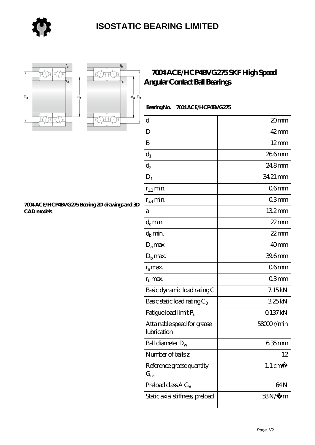





r,

## **[7004 ACE/HCP4BVG275 SKF High Speed](https://store-isabelmarant.com/skf-bearings/7004-ace-hcp4bvg275.html) [Angular Contact Ball Bearings](https://store-isabelmarant.com/skf-bearings/7004-ace-hcp4bvg275.html)**

 **Bearing No. 7004 ACE/HCP4BVG275**

| $\rm d$                                    | 20mm               |
|--------------------------------------------|--------------------|
| D                                          | $42$ mm            |
| B                                          | $12 \text{mm}$     |
| $d_1$                                      | 266mm              |
| $\mathrm{d}_2$                             | 24.8mm             |
| $D_1$                                      | 34.21 mm           |
| $r_{1,2}$ min.                             | 06 <sub>mm</sub>   |
| $r_{34}$ min.                              | 03mm               |
| а                                          | 132mm              |
| $d_a$ min.                                 | $22$ mm            |
| $d_b$ min.                                 | $22$ mm            |
| $D_a$ max.                                 | 40 <sub>mm</sub>   |
| $D_{\rm b}$ max.                           | 39.6mm             |
| $r_a$ max.                                 | 06 <sub>mm</sub>   |
| $rb$ max.                                  | 03mm               |
| Basic dynamic load rating C                | 7.15kN             |
| Basic static load rating $C_0$             | 325kN              |
| Fatigue load limit P <sub>u</sub>          | 0.137kN            |
| Attainable speed for grease<br>lubrication | 58000r/min         |
| Ball diameter $D_w$                        | $635$ mm           |
| Number of balls z                          | 12                 |
| Reference grease quantity<br>$G_{ref}$     | $1.1 \text{ cm}^3$ |
| Preload class $A G_A$                      | 64N                |
| Static axial stiffness, preload            | $58N/\mu$ m        |

## **[7004 ACE/HCP4BVG275 Bearing 2D drawings and 3D](https://store-isabelmarant.com/pic-931713.html) [CAD models](https://store-isabelmarant.com/pic-931713.html)**